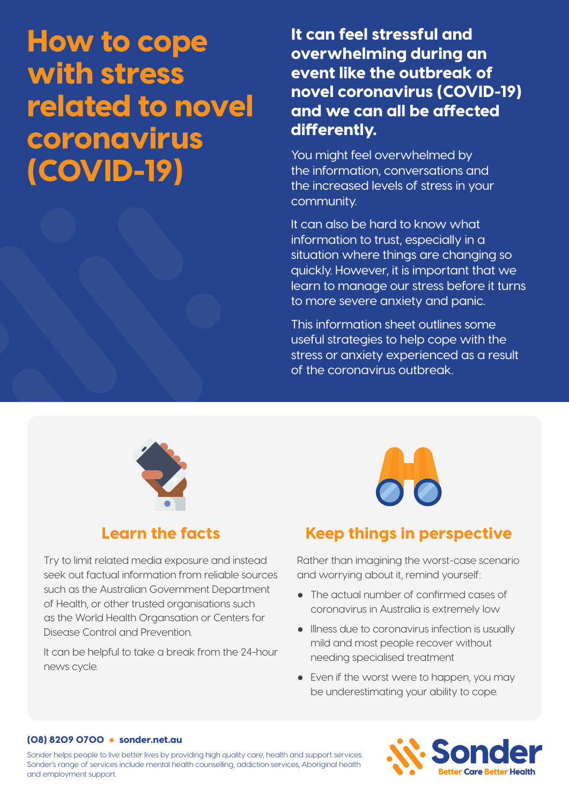# How to cope with stress related to novel coronavirus (COVID-19)

It can feel stressful and overwhelming during an event like the outbreak of novel coronavirus (COVID-19) and we can all be affected differently.

You might feel overwhelmed by the information, conversations and the increased levels of stress in your community.

It can also be hard to know what information to trust, especially in a situation where things are changing so quickly. However, it is important that we learn to manage our stress before it turns to more severe anxiety and panic.

This information sheet outlines some useful strategies to help cope with the stress or anxiety experienced as a result of the coronavirus outbreak.



## Learn the facts

Try to limit related media exposure and instead seek out factual information from reliable sources such as the Australian Government Department of Health, or other trusted organisations such as the World Health Organsation or Centers for Disease Control and Prevention.

It can be helpful to take a break from the 24-hour news cycle.



# Keep things in perspective

Rather than imagining the worst-case scenario and worrying about it, remind yourself:

- The actual number of confirmed cases of coronavirus in Australia is extremely low
- Illness due to coronavirus infection is usually mild and most people recover without needing specialised treatment
- Even if the worst were to happen, you may be underestimating your ability to cope.

#### (08) 8209 0700 ● sonder.net.au

Sonder helps people to live better lives by providing high quality care, health and support services. Sonder's range of services include mental health counselling, addiction services, Aboriginal health and employment support.